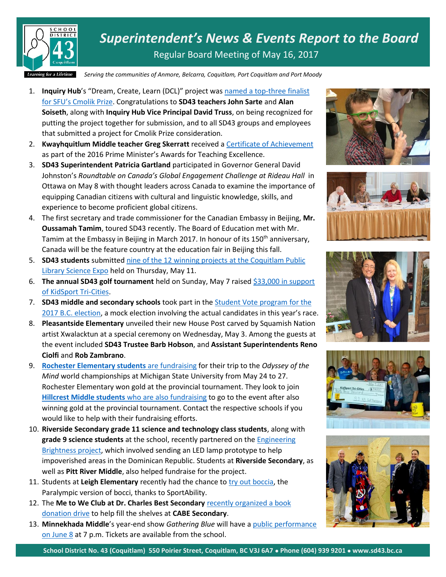

*Superintendent's News & Events Report to the Board* Regular Board Meeting of May 16, 2017

*Serving the communities of Anmore, Belcarra, Coquitlam, Port Coquitlam and Port Moody*

- 1. **Inquiry Hub**'s "Dream, Create, Learn (DCL)" project was [named a top-three finalist](http://www.sfu.ca/sfunews/stories/2017/04/100-000-sfu-cmolik-prize-awarded.html)  [for SFU's Cmolik Prize](http://www.sfu.ca/sfunews/stories/2017/04/100-000-sfu-cmolik-prize-awarded.html). Congratulations to **SD43 teachers John Sarte** and **Alan Soiseth**, along with **Inquiry Hub Vice Principal David Truss**, on being recognized for putting the project together for submission, and to all SD43 groups and employees that submitted a project for Cmolik Prize consideration.
- 2. **Kwayhquitlum Middle teacher Greg Skerratt** received [a Certificate of Achievement](http://www.sd43.bc.ca/Pages/newsitem.aspx?ItemID=119&ListID=c4134e88-bc0d-484f-9d4d-93c69db7f94f&TemplateID=Announcement_Item) as part of the 2016 Prime Minister's Awards for Teaching Excellence.
- 3. **SD43 Superintendent Patricia Gartland** participated in Governor General David Johnston's *Roundtable on Canada's Global Engagement Challenge at Rideau Hall* in Ottawa on May 8 with thought leaders across Canada to examine the importance of equipping Canadian citizens with cultural and linguistic knowledge, skills, and experience to become proficient global citizens.
- 4. The first secretary and trade commissioner for the Canadian Embassy in Beijing, **Mr. Oussamah Tamim**, toured SD43 recently. The Board of Education met with Mr. Tamim at the Embassy in Beijing in March 2017. In honour of its 150<sup>th</sup> anniversary, Canada will be the feature country at the education fair in Beijing this fall.
- 5. **SD43 students** submitted [nine of the 12 winning projects](http://www.sd43.bc.ca/Pages/newsitem.aspx?ItemID=122&ListID=c4134e88-bc0d-484f-9d4d-93c69db7f94f&TemplateID=Announcement_Item) at the Coquitlam Public [Library Science Expo](http://www.sd43.bc.ca/Pages/newsitem.aspx?ItemID=122&ListID=c4134e88-bc0d-484f-9d4d-93c69db7f94f&TemplateID=Announcement_Item) held on Thursday, May 11.
- 6. **The annual SD43 golf tournament** held on Sunday, May 7 raise[d \\$33,000 in support](http://www.sd43.bc.ca/Pages/newsitem.aspx?ItemID=121&ListID=c4134e88-bc0d-484f-9d4d-93c69db7f94f&TemplateID=Announcement_Item)  [of KidSport Tri-Cities.](http://www.sd43.bc.ca/Pages/newsitem.aspx?ItemID=121&ListID=c4134e88-bc0d-484f-9d4d-93c69db7f94f&TemplateID=Announcement_Item)
- 7. **SD43 middle and secondary schools** took part in the [Student Vote program](http://www.tricitynews.com/provincial-election/coquitlam-district-students-vote-bc-ndp-1.19280417) for the [2017 B.C. election](http://www.tricitynews.com/provincial-election/coquitlam-district-students-vote-bc-ndp-1.19280417), a mock election involving the actual candidates in this year's race.
- 8. **Pleasantside Elementary** unveiled their new House Post carved by Squamish Nation artist Xwalacktun at a special ceremony on Wednesday, May 3. Among the guests at the event included **SD43 Trustee Barb Hobson**, and **Assistant Superintendents Reno Ciolfi** and **Rob Zambrano**.
- 9. **[Rochester Elementary students](http://www.tricitynews.com/community/rochester-rockets-need-your-help-1.17297689)** are fundraising for their trip to the *Odyssey of the Mind* world championships at Michigan State University from May 24 to 27. Rochester Elementary won gold at the provincial tournament. They look to join **[Hillcrest Middle students](http://www.tricitynews.com/community/coquitlam-team-needs-help-getting-to-odyssey-of-the-mind-world-championships-1.16398934)** who are also fundraising to go to the event after also winning gold at the provincial tournament. Contact the respective schools if you would like to help with their fundraising efforts.
- 10. **Riverside Secondary grade 11 science and technology class students**, along with **grade 9 science students** at the school, recently partnered on the [Engineering](http://www.tricitynews.com/community/port-coquitlam-school-connects-for-learning-1.19080323)  [Brightness project,](http://www.tricitynews.com/community/port-coquitlam-school-connects-for-learning-1.19080323) which involved sending an LED lamp prototype to help impoverished areas in the Dominican Republic. Students at **Riverside Secondary**, as well as **Pitt River Middle**, also helped fundraise for the project.
- 11. Students at **Leigh Elementary** recently had the chance to [try out boccia,](https://www.sd43.bc.ca/Pages/newsitem.aspx?ItemID=120&ListID=c4134e88-bc0d-484f-9d4d-93c69db7f94f&TemplateID=Announcement_Item) the Paralympic version of bocci, thanks to SportAbility.
- 12. The **Me to We Club at Dr. Charles Best Secondary** [recently organized a book](http://www.tricitynews.com/community/help-coquitlam-schools-with-book-drive-1.19302775)  [donation drive](http://www.tricitynews.com/community/help-coquitlam-schools-with-book-drive-1.19302775) to help fill the shelves at **CABE Secondary**.
- 13. **Minnekhada Middle**'s year-end show *Gathering Blue* will have a [public performance](http://www.tricitynews.com/entertainment/arts-notes-shakespearean-director-to-work-in-coquitlam-1.18895831)  [on June 8](http://www.tricitynews.com/entertainment/arts-notes-shakespearean-director-to-work-in-coquitlam-1.18895831) at 7 p.m. Tickets are available from the school.